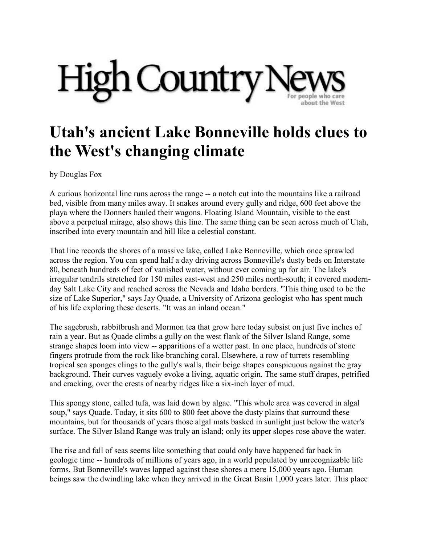

## **Utah's ancient Lake Bonneville holds clues to the West's changing climate**

by Douglas Fox

A curious horizontal line runs across the range -- a notch cut into the mountains like a railroad bed, visible from many miles away. It snakes around every gully and ridge, 600 feet above the playa where the Donners hauled their wagons. Floating Island Mountain, visible to the east above a perpetual mirage, also shows this line. The same thing can be seen across much of Utah, inscribed into every mountain and hill like a celestial constant.

That line records the shores of a massive lake, called Lake Bonneville, which once sprawled across the region. You can spend half a day driving across Bonneville's dusty beds on Interstate 80, beneath hundreds of feet of vanished water, without ever coming up for air. The lake's irregular tendrils stretched for 150 miles east-west and 250 miles north-south; it covered modernday Salt Lake City and reached across the Nevada and Idaho borders. "This thing used to be the size of Lake Superior," says Jay Quade, a University of Arizona geologist who has spent much of his life exploring these deserts. "It was an inland ocean."

The sagebrush, rabbitbrush and Mormon tea that grow here today subsist on just five inches of rain a year. But as Quade climbs a gully on the west flank of the Silver Island Range, some strange shapes loom into view -- apparitions of a wetter past. In one place, hundreds of stone fingers protrude from the rock like branching coral. Elsewhere, a row of turrets resembling tropical sea sponges clings to the gully's walls, their beige shapes conspicuous against the gray background. Their curves vaguely evoke a living, aquatic origin. The same stuff drapes, petrified and cracking, over the crests of nearby ridges like a six-inch layer of mud.

This spongy stone, called tufa, was laid down by algae. "This whole area was covered in algal soup," says Quade. Today, it sits 600 to 800 feet above the dusty plains that surround these mountains, but for thousands of years those algal mats basked in sunlight just below the water's surface. The Silver Island Range was truly an island; only its upper slopes rose above the water.

The rise and fall of seas seems like something that could only have happened far back in geologic time -- hundreds of millions of years ago, in a world populated by unrecognizable life forms. But Bonneville's waves lapped against these shores a mere 15,000 years ago. Human beings saw the dwindling lake when they arrived in the Great Basin 1,000 years later. This place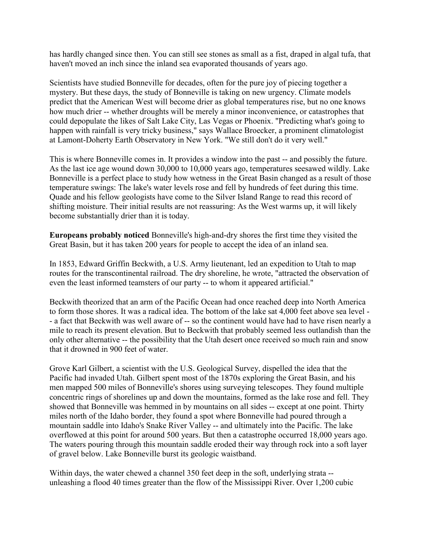has hardly changed since then. You can still see stones as small as a fist, draped in algal tufa, that haven't moved an inch since the inland sea evaporated thousands of years ago.

Scientists have studied Bonneville for decades, often for the pure joy of piecing together a mystery. But these days, the study of Bonneville is taking on new urgency. Climate models predict that the American West will become drier as global temperatures rise, but no one knows how much drier -- whether droughts will be merely a minor inconvenience, or catastrophes that could depopulate the likes of Salt Lake City, Las Vegas or Phoenix. "Predicting what's going to happen with rainfall is very tricky business," says Wallace Broecker, a prominent climatologist at Lamont-Doherty Earth Observatory in New York. "We still don't do it very well."

This is where Bonneville comes in. It provides a window into the past -- and possibly the future. As the last ice age wound down 30,000 to 10,000 years ago, temperatures seesawed wildly. Lake Bonneville is a perfect place to study how wetness in the Great Basin changed as a result of those temperature swings: The lake's water levels rose and fell by hundreds of feet during this time. Quade and his fellow geologists have come to the Silver Island Range to read this record of shifting moisture. Their initial results are not reassuring: As the West warms up, it will likely become substantially drier than it is today.

**Europeans probably noticed** Bonneville's high-and-dry shores the first time they visited the Great Basin, but it has taken 200 years for people to accept the idea of an inland sea.

In 1853, Edward Griffin Beckwith, a U.S. Army lieutenant, led an expedition to Utah to map routes for the transcontinental railroad. The dry shoreline, he wrote, "attracted the observation of even the least informed teamsters of our party -- to whom it appeared artificial."

Beckwith theorized that an arm of the Pacific Ocean had once reached deep into North America to form those shores. It was a radical idea. The bottom of the lake sat 4,000 feet above sea level - - a fact that Beckwith was well aware of -- so the continent would have had to have risen nearly a mile to reach its present elevation. But to Beckwith that probably seemed less outlandish than the only other alternative -- the possibility that the Utah desert once received so much rain and snow that it drowned in 900 feet of water.

Grove Karl Gilbert, a scientist with the U.S. Geological Survey, dispelled the idea that the Pacific had invaded Utah. Gilbert spent most of the 1870s exploring the Great Basin, and his men mapped 500 miles of Bonneville's shores using surveying telescopes. They found multiple concentric rings of shorelines up and down the mountains, formed as the lake rose and fell. They showed that Bonneville was hemmed in by mountains on all sides -- except at one point. Thirty miles north of the Idaho border, they found a spot where Bonneville had poured through a mountain saddle into Idaho's Snake River Valley -- and ultimately into the Pacific. The lake overflowed at this point for around 500 years. But then a catastrophe occurred 18,000 years ago. The waters pouring through this mountain saddle eroded their way through rock into a soft layer of gravel below. Lake Bonneville burst its geologic waistband.

Within days, the water chewed a channel 350 feet deep in the soft, underlying strata - unleashing a flood 40 times greater than the flow of the Mississippi River. Over 1,200 cubic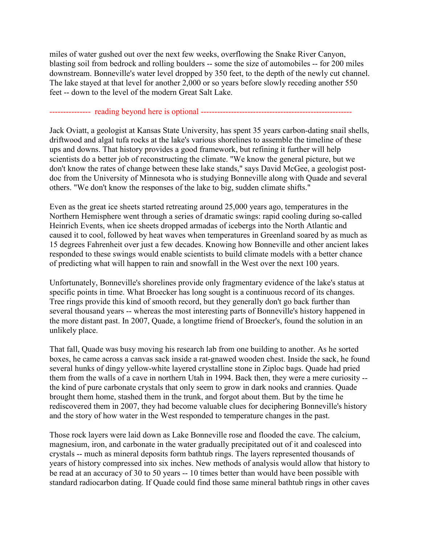miles of water gushed out over the next few weeks, overflowing the Snake River Canyon, blasting soil from bedrock and rolling boulders -- some the size of automobiles -- for 200 miles downstream. Bonneville's water level dropped by 350 feet, to the depth of the newly cut channel. The lake stayed at that level for another 2,000 or so years before slowly receding another 550 feet -- down to the level of the modern Great Salt Lake.

## --------------- reading beyond here is optional -------------------------------------------------------

Jack Oviatt, a geologist at Kansas State University, has spent 35 years carbon-dating snail shells, driftwood and algal tufa rocks at the lake's various shorelines to assemble the timeline of these ups and downs. That history provides a good framework, but refining it further will help scientists do a better job of reconstructing the climate. "We know the general picture, but we don't know the rates of change between these lake stands," says David McGee, a geologist postdoc from the University of Minnesota who is studying Bonneville along with Quade and several others. "We don't know the responses of the lake to big, sudden climate shifts."

Even as the great ice sheets started retreating around 25,000 years ago, temperatures in the Northern Hemisphere went through a series of dramatic swings: rapid cooling during so-called Heinrich Events, when ice sheets dropped armadas of icebergs into the North Atlantic and caused it to cool, followed by heat waves when temperatures in Greenland soared by as much as 15 degrees Fahrenheit over just a few decades. Knowing how Bonneville and other ancient lakes responded to these swings would enable scientists to build climate models with a better chance of predicting what will happen to rain and snowfall in the West over the next 100 years.

Unfortunately, Bonneville's shorelines provide only fragmentary evidence of the lake's status at specific points in time. What Broecker has long sought is a continuous record of its changes. Tree rings provide this kind of smooth record, but they generally don't go back further than several thousand years -- whereas the most interesting parts of Bonneville's history happened in the more distant past. In 2007, Quade, a longtime friend of Broecker's, found the solution in an unlikely place.

That fall, Quade was busy moving his research lab from one building to another. As he sorted boxes, he came across a canvas sack inside a rat-gnawed wooden chest. Inside the sack, he found several hunks of dingy yellow-white layered crystalline stone in Ziploc bags. Quade had pried them from the walls of a cave in northern Utah in 1994. Back then, they were a mere curiosity - the kind of pure carbonate crystals that only seem to grow in dark nooks and crannies. Quade brought them home, stashed them in the trunk, and forgot about them. But by the time he rediscovered them in 2007, they had become valuable clues for deciphering Bonneville's history and the story of how water in the West responded to temperature changes in the past.

Those rock layers were laid down as Lake Bonneville rose and flooded the cave. The calcium, magnesium, iron, and carbonate in the water gradually precipitated out of it and coalesced into crystals -- much as mineral deposits form bathtub rings. The layers represented thousands of years of history compressed into six inches. New methods of analysis would allow that history to be read at an accuracy of 30 to 50 years -- 10 times better than would have been possible with standard radiocarbon dating. If Quade could find those same mineral bathtub rings in other caves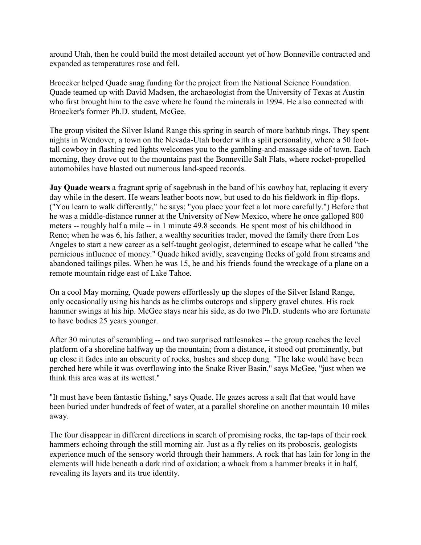around Utah, then he could build the most detailed account yet of how Bonneville contracted and expanded as temperatures rose and fell.

Broecker helped Quade snag funding for the project from the National Science Foundation. Quade teamed up with David Madsen, the archaeologist from the University of Texas at Austin who first brought him to the cave where he found the minerals in 1994. He also connected with Broecker's former Ph.D. student, McGee.

The group visited the Silver Island Range this spring in search of more bathtub rings. They spent nights in Wendover, a town on the Nevada-Utah border with a split personality, where a 50 foottall cowboy in flashing red lights welcomes you to the gambling-and-massage side of town. Each morning, they drove out to the mountains past the Bonneville Salt Flats, where rocket-propelled automobiles have blasted out numerous land-speed records.

**Jay Quade wears** a fragrant sprig of sagebrush in the band of his cowboy hat, replacing it every day while in the desert. He wears leather boots now, but used to do his fieldwork in flip-flops. ("You learn to walk differently," he says; "you place your feet a lot more carefully.") Before that he was a middle-distance runner at the University of New Mexico, where he once galloped 800 meters -- roughly half a mile -- in 1 minute 49.8 seconds. He spent most of his childhood in Reno; when he was 6, his father, a wealthy securities trader, moved the family there from Los Angeles to start a new career as a self-taught geologist, determined to escape what he called "the pernicious influence of money." Quade hiked avidly, scavenging flecks of gold from streams and abandoned tailings piles. When he was 15, he and his friends found the wreckage of a plane on a remote mountain ridge east of Lake Tahoe.

On a cool May morning, Quade powers effortlessly up the slopes of the Silver Island Range, only occasionally using his hands as he climbs outcrops and slippery gravel chutes. His rock hammer swings at his hip. McGee stays near his side, as do two Ph.D. students who are fortunate to have bodies 25 years younger.

After 30 minutes of scrambling -- and two surprised rattlesnakes -- the group reaches the level platform of a shoreline halfway up the mountain; from a distance, it stood out prominently, but up close it fades into an obscurity of rocks, bushes and sheep dung. "The lake would have been perched here while it was overflowing into the Snake River Basin," says McGee, "just when we think this area was at its wettest."

"It must have been fantastic fishing," says Quade. He gazes across a salt flat that would have been buried under hundreds of feet of water, at a parallel shoreline on another mountain 10 miles away.

The four disappear in different directions in search of promising rocks, the tap-taps of their rock hammers echoing through the still morning air. Just as a fly relies on its proboscis, geologists experience much of the sensory world through their hammers. A rock that has lain for long in the elements will hide beneath a dark rind of oxidation; a whack from a hammer breaks it in half, revealing its layers and its true identity.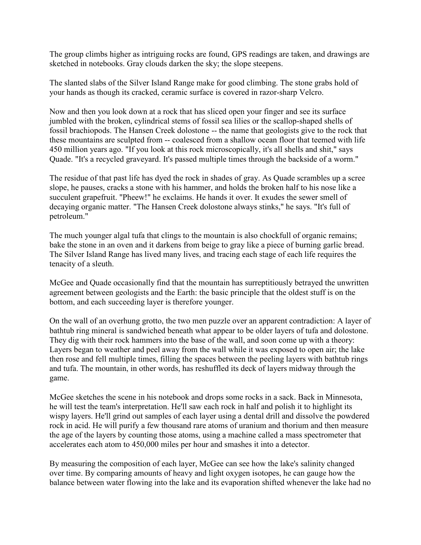The group climbs higher as intriguing rocks are found, GPS readings are taken, and drawings are sketched in notebooks. Gray clouds darken the sky; the slope steepens.

The slanted slabs of the Silver Island Range make for good climbing. The stone grabs hold of your hands as though its cracked, ceramic surface is covered in razor-sharp Velcro.

Now and then you look down at a rock that has sliced open your finger and see its surface jumbled with the broken, cylindrical stems of fossil sea lilies or the scallop-shaped shells of fossil brachiopods. The Hansen Creek dolostone -- the name that geologists give to the rock that these mountains are sculpted from -- coalesced from a shallow ocean floor that teemed with life 450 million years ago. "If you look at this rock microscopically, it's all shells and shit," says Quade. "It's a recycled graveyard. It's passed multiple times through the backside of a worm."

The residue of that past life has dyed the rock in shades of gray. As Quade scrambles up a scree slope, he pauses, cracks a stone with his hammer, and holds the broken half to his nose like a succulent grapefruit. "Pheew!" he exclaims. He hands it over. It exudes the sewer smell of decaying organic matter. "The Hansen Creek dolostone always stinks," he says. "It's full of petroleum."

The much younger algal tufa that clings to the mountain is also chockfull of organic remains; bake the stone in an oven and it darkens from beige to gray like a piece of burning garlic bread. The Silver Island Range has lived many lives, and tracing each stage of each life requires the tenacity of a sleuth.

McGee and Quade occasionally find that the mountain has surreptitiously betrayed the unwritten agreement between geologists and the Earth: the basic principle that the oldest stuff is on the bottom, and each succeeding layer is therefore younger.

On the wall of an overhung grotto, the two men puzzle over an apparent contradiction: A layer of bathtub ring mineral is sandwiched beneath what appear to be older layers of tufa and dolostone. They dig with their rock hammers into the base of the wall, and soon come up with a theory: Layers began to weather and peel away from the wall while it was exposed to open air; the lake then rose and fell multiple times, filling the spaces between the peeling layers with bathtub rings and tufa. The mountain, in other words, has reshuffled its deck of layers midway through the game.

McGee sketches the scene in his notebook and drops some rocks in a sack. Back in Minnesota, he will test the team's interpretation. He'll saw each rock in half and polish it to highlight its wispy layers. He'll grind out samples of each layer using a dental drill and dissolve the powdered rock in acid. He will purify a few thousand rare atoms of uranium and thorium and then measure the age of the layers by counting those atoms, using a machine called a mass spectrometer that accelerates each atom to 450,000 miles per hour and smashes it into a detector.

By measuring the composition of each layer, McGee can see how the lake's salinity changed over time. By comparing amounts of heavy and light oxygen isotopes, he can gauge how the balance between water flowing into the lake and its evaporation shifted whenever the lake had no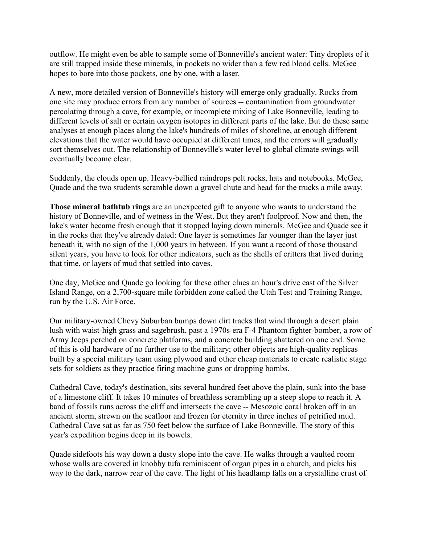outflow. He might even be able to sample some of Bonneville's ancient water: Tiny droplets of it are still trapped inside these minerals, in pockets no wider than a few red blood cells. McGee hopes to bore into those pockets, one by one, with a laser.

A new, more detailed version of Bonneville's history will emerge only gradually. Rocks from one site may produce errors from any number of sources -- contamination from groundwater percolating through a cave, for example, or incomplete mixing of Lake Bonneville, leading to different levels of salt or certain oxygen isotopes in different parts of the lake. But do these same analyses at enough places along the lake's hundreds of miles of shoreline, at enough different elevations that the water would have occupied at different times, and the errors will gradually sort themselves out. The relationship of Bonneville's water level to global climate swings will eventually become clear.

Suddenly, the clouds open up. Heavy-bellied raindrops pelt rocks, hats and notebooks. McGee, Quade and the two students scramble down a gravel chute and head for the trucks a mile away.

**Those mineral bathtub rings** are an unexpected gift to anyone who wants to understand the history of Bonneville, and of wetness in the West. But they aren't foolproof. Now and then, the lake's water became fresh enough that it stopped laying down minerals. McGee and Quade see it in the rocks that they've already dated: One layer is sometimes far younger than the layer just beneath it, with no sign of the 1,000 years in between. If you want a record of those thousand silent years, you have to look for other indicators, such as the shells of critters that lived during that time, or layers of mud that settled into caves.

One day, McGee and Quade go looking for these other clues an hour's drive east of the Silver Island Range, on a 2,700-square mile forbidden zone called the Utah Test and Training Range, run by the U.S. Air Force.

Our military-owned Chevy Suburban bumps down dirt tracks that wind through a desert plain lush with waist-high grass and sagebrush, past a 1970s-era F-4 Phantom fighter-bomber, a row of Army Jeeps perched on concrete platforms, and a concrete building shattered on one end. Some of this is old hardware of no further use to the military; other objects are high-quality replicas built by a special military team using plywood and other cheap materials to create realistic stage sets for soldiers as they practice firing machine guns or dropping bombs.

Cathedral Cave, today's destination, sits several hundred feet above the plain, sunk into the base of a limestone cliff. It takes 10 minutes of breathless scrambling up a steep slope to reach it. A band of fossils runs across the cliff and intersects the cave -- Mesozoic coral broken off in an ancient storm, strewn on the seafloor and frozen for eternity in three inches of petrified mud. Cathedral Cave sat as far as 750 feet below the surface of Lake Bonneville. The story of this year's expedition begins deep in its bowels.

Quade sidefoots his way down a dusty slope into the cave. He walks through a vaulted room whose walls are covered in knobby tufa reminiscent of organ pipes in a church, and picks his way to the dark, narrow rear of the cave. The light of his headlamp falls on a crystalline crust of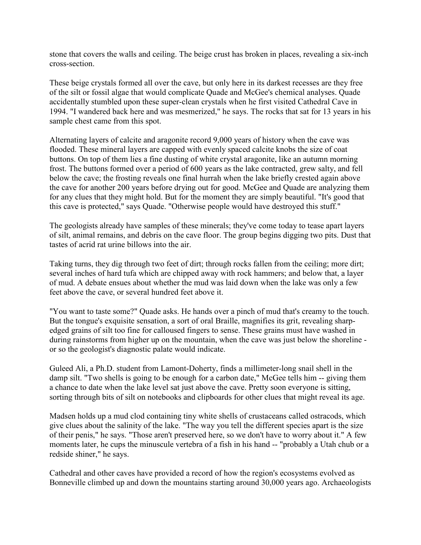stone that covers the walls and ceiling. The beige crust has broken in places, revealing a six-inch cross-section.

These beige crystals formed all over the cave, but only here in its darkest recesses are they free of the silt or fossil algae that would complicate Quade and McGee's chemical analyses. Quade accidentally stumbled upon these super-clean crystals when he first visited Cathedral Cave in 1994. "I wandered back here and was mesmerized," he says. The rocks that sat for 13 years in his sample chest came from this spot.

Alternating layers of calcite and aragonite record 9,000 years of history when the cave was flooded. These mineral layers are capped with evenly spaced calcite knobs the size of coat buttons. On top of them lies a fine dusting of white crystal aragonite, like an autumn morning frost. The buttons formed over a period of 600 years as the lake contracted, grew salty, and fell below the cave; the frosting reveals one final hurrah when the lake briefly crested again above the cave for another 200 years before drying out for good. McGee and Quade are analyzing them for any clues that they might hold. But for the moment they are simply beautiful. "It's good that this cave is protected," says Quade. "Otherwise people would have destroyed this stuff."

The geologists already have samples of these minerals; they've come today to tease apart layers of silt, animal remains, and debris on the cave floor. The group begins digging two pits. Dust that tastes of acrid rat urine billows into the air.

Taking turns, they dig through two feet of dirt; through rocks fallen from the ceiling; more dirt; several inches of hard tufa which are chipped away with rock hammers; and below that, a layer of mud. A debate ensues about whether the mud was laid down when the lake was only a few feet above the cave, or several hundred feet above it.

"You want to taste some?" Quade asks. He hands over a pinch of mud that's creamy to the touch. But the tongue's exquisite sensation, a sort of oral Braille, magnifies its grit, revealing sharpedged grains of silt too fine for calloused fingers to sense. These grains must have washed in during rainstorms from higher up on the mountain, when the cave was just below the shoreline or so the geologist's diagnostic palate would indicate.

Guleed Ali, a Ph.D. student from Lamont-Doherty, finds a millimeter-long snail shell in the damp silt. "Two shells is going to be enough for a carbon date," McGee tells him -- giving them a chance to date when the lake level sat just above the cave. Pretty soon everyone is sitting, sorting through bits of silt on notebooks and clipboards for other clues that might reveal its age.

Madsen holds up a mud clod containing tiny white shells of crustaceans called ostracods, which give clues about the salinity of the lake. "The way you tell the different species apart is the size of their penis," he says. "Those aren't preserved here, so we don't have to worry about it." A few moments later, he cups the minuscule vertebra of a fish in his hand -- "probably a Utah chub or a redside shiner," he says.

Cathedral and other caves have provided a record of how the region's ecosystems evolved as Bonneville climbed up and down the mountains starting around 30,000 years ago. Archaeologists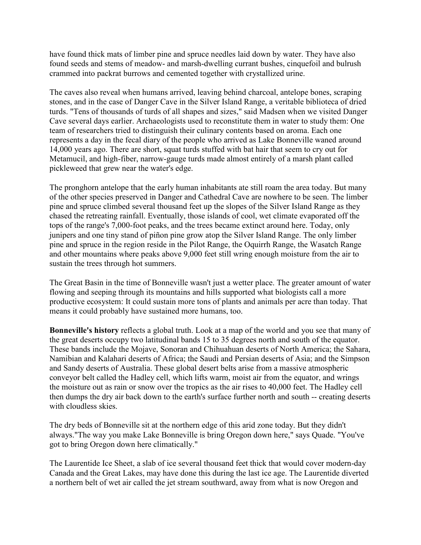have found thick mats of limber pine and spruce needles laid down by water. They have also found seeds and stems of meadow- and marsh-dwelling currant bushes, cinquefoil and bulrush crammed into packrat burrows and cemented together with crystallized urine.

The caves also reveal when humans arrived, leaving behind charcoal, antelope bones, scraping stones, and in the case of Danger Cave in the Silver Island Range, a veritable biblioteca of dried turds. "Tens of thousands of turds of all shapes and sizes," said Madsen when we visited Danger Cave several days earlier. Archaeologists used to reconstitute them in water to study them: One team of researchers tried to distinguish their culinary contents based on aroma. Each one represents a day in the fecal diary of the people who arrived as Lake Bonneville waned around 14,000 years ago. There are short, squat turds stuffed with bat hair that seem to cry out for Metamucil, and high-fiber, narrow-gauge turds made almost entirely of a marsh plant called pickleweed that grew near the water's edge.

The pronghorn antelope that the early human inhabitants ate still roam the area today. But many of the other species preserved in Danger and Cathedral Cave are nowhere to be seen. The limber pine and spruce climbed several thousand feet up the slopes of the Silver Island Range as they chased the retreating rainfall. Eventually, those islands of cool, wet climate evaporated off the tops of the range's 7,000-foot peaks, and the trees became extinct around here. Today, only junipers and one tiny stand of piñon pine grow atop the Silver Island Range. The only limber pine and spruce in the region reside in the Pilot Range, the Oquirrh Range, the Wasatch Range and other mountains where peaks above 9,000 feet still wring enough moisture from the air to sustain the trees through hot summers.

The Great Basin in the time of Bonneville wasn't just a wetter place. The greater amount of water flowing and seeping through its mountains and hills supported what biologists call a more productive ecosystem: It could sustain more tons of plants and animals per acre than today. That means it could probably have sustained more humans, too.

**Bonneville's history** reflects a global truth. Look at a map of the world and you see that many of the great deserts occupy two latitudinal bands 15 to 35 degrees north and south of the equator. These bands include the Mojave, Sonoran and Chihuahuan deserts of North America; the Sahara, Namibian and Kalahari deserts of Africa; the Saudi and Persian deserts of Asia; and the Simpson and Sandy deserts of Australia. These global desert belts arise from a massive atmospheric conveyor belt called the Hadley cell, which lifts warm, moist air from the equator, and wrings the moisture out as rain or snow over the tropics as the air rises to 40,000 feet. The Hadley cell then dumps the dry air back down to the earth's surface further north and south -- creating deserts with cloudless skies.

The dry beds of Bonneville sit at the northern edge of this arid zone today. But they didn't always."The way you make Lake Bonneville is bring Oregon down here," says Quade. "You've got to bring Oregon down here climatically."

The Laurentide Ice Sheet, a slab of ice several thousand feet thick that would cover modern-day Canada and the Great Lakes, may have done this during the last ice age. The Laurentide diverted a northern belt of wet air called the jet stream southward, away from what is now Oregon and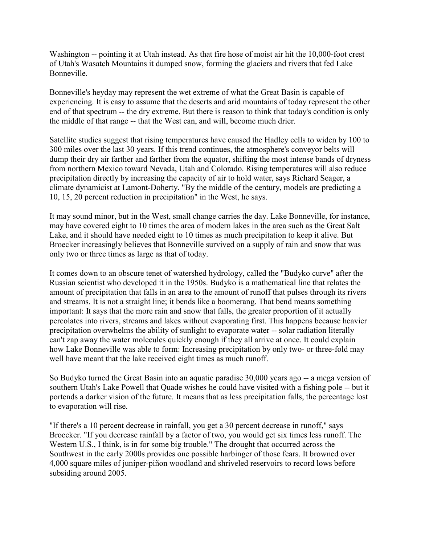Washington -- pointing it at Utah instead. As that fire hose of moist air hit the 10,000-foot crest of Utah's Wasatch Mountains it dumped snow, forming the glaciers and rivers that fed Lake Bonneville.

Bonneville's heyday may represent the wet extreme of what the Great Basin is capable of experiencing. It is easy to assume that the deserts and arid mountains of today represent the other end of that spectrum -- the dry extreme. But there is reason to think that today's condition is only the middle of that range -- that the West can, and will, become much drier.

Satellite studies suggest that rising temperatures have caused the Hadley cells to widen by 100 to 300 miles over the last 30 years. If this trend continues, the atmosphere's conveyor belts will dump their dry air farther and farther from the equator, shifting the most intense bands of dryness from northern Mexico toward Nevada, Utah and Colorado. Rising temperatures will also reduce precipitation directly by increasing the capacity of air to hold water, says Richard Seager, a climate dynamicist at Lamont-Doherty. "By the middle of the century, models are predicting a 10, 15, 20 percent reduction in precipitation" in the West, he says.

It may sound minor, but in the West, small change carries the day. Lake Bonneville, for instance, may have covered eight to 10 times the area of modern lakes in the area such as the Great Salt Lake, and it should have needed eight to 10 times as much precipitation to keep it alive. But Broecker increasingly believes that Bonneville survived on a supply of rain and snow that was only two or three times as large as that of today.

It comes down to an obscure tenet of watershed hydrology, called the "Budyko curve" after the Russian scientist who developed it in the 1950s. Budyko is a mathematical line that relates the amount of precipitation that falls in an area to the amount of runoff that pulses through its rivers and streams. It is not a straight line; it bends like a boomerang. That bend means something important: It says that the more rain and snow that falls, the greater proportion of it actually percolates into rivers, streams and lakes without evaporating first. This happens because heavier precipitation overwhelms the ability of sunlight to evaporate water -- solar radiation literally can't zap away the water molecules quickly enough if they all arrive at once. It could explain how Lake Bonneville was able to form: Increasing precipitation by only two- or three-fold may well have meant that the lake received eight times as much runoff.

So Budyko turned the Great Basin into an aquatic paradise 30,000 years ago -- a mega version of southern Utah's Lake Powell that Quade wishes he could have visited with a fishing pole -- but it portends a darker vision of the future. It means that as less precipitation falls, the percentage lost to evaporation will rise.

"If there's a 10 percent decrease in rainfall, you get a 30 percent decrease in runoff," says Broecker. "If you decrease rainfall by a factor of two, you would get six times less runoff. The Western U.S., I think, is in for some big trouble." The drought that occurred across the Southwest in the early 2000s provides one possible harbinger of those fears. It browned over 4,000 square miles of juniper-piñon woodland and shriveled reservoirs to record lows before subsiding around 2005.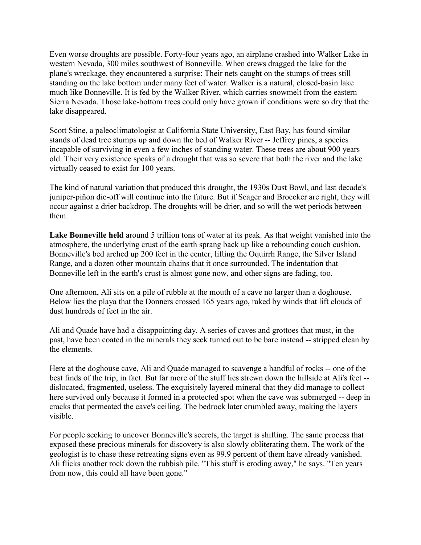Even worse droughts are possible. Forty-four years ago, an airplane crashed into Walker Lake in western Nevada, 300 miles southwest of Bonneville. When crews dragged the lake for the plane's wreckage, they encountered a surprise: Their nets caught on the stumps of trees still standing on the lake bottom under many feet of water. Walker is a natural, closed-basin lake much like Bonneville. It is fed by the Walker River, which carries snowmelt from the eastern Sierra Nevada. Those lake-bottom trees could only have grown if conditions were so dry that the lake disappeared.

Scott Stine, a paleoclimatologist at California State University, East Bay, has found similar stands of dead tree stumps up and down the bed of Walker River -- Jeffrey pines, a species incapable of surviving in even a few inches of standing water. These trees are about 900 years old. Their very existence speaks of a drought that was so severe that both the river and the lake virtually ceased to exist for 100 years.

The kind of natural variation that produced this drought, the 1930s Dust Bowl, and last decade's juniper-piñon die-off will continue into the future. But if Seager and Broecker are right, they will occur against a drier backdrop. The droughts will be drier, and so will the wet periods between them.

Lake Bonneville held around 5 trillion tons of water at its peak. As that weight vanished into the atmosphere, the underlying crust of the earth sprang back up like a rebounding couch cushion. Bonneville's bed arched up 200 feet in the center, lifting the Oquirrh Range, the Silver Island Range, and a dozen other mountain chains that it once surrounded. The indentation that Bonneville left in the earth's crust is almost gone now, and other signs are fading, too.

One afternoon, Ali sits on a pile of rubble at the mouth of a cave no larger than a doghouse. Below lies the playa that the Donners crossed 165 years ago, raked by winds that lift clouds of dust hundreds of feet in the air.

Ali and Quade have had a disappointing day. A series of caves and grottoes that must, in the past, have been coated in the minerals they seek turned out to be bare instead -- stripped clean by the elements.

Here at the doghouse cave, Ali and Quade managed to scavenge a handful of rocks -- one of the best finds of the trip, in fact. But far more of the stuff lies strewn down the hillside at Ali's feet - dislocated, fragmented, useless. The exquisitely layered mineral that they did manage to collect here survived only because it formed in a protected spot when the cave was submerged -- deep in cracks that permeated the cave's ceiling. The bedrock later crumbled away, making the layers visible.

For people seeking to uncover Bonneville's secrets, the target is shifting. The same process that exposed these precious minerals for discovery is also slowly obliterating them. The work of the geologist is to chase these retreating signs even as 99.9 percent of them have already vanished. Ali flicks another rock down the rubbish pile. "This stuff is eroding away," he says. "Ten years from now, this could all have been gone."